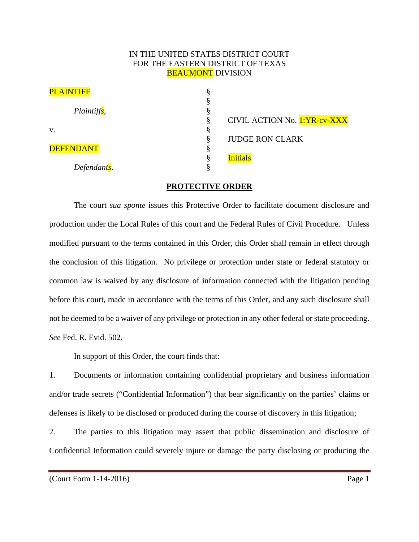## IN THE UNITED STATES DISTRICT COURT FOR THE EASTERN DISTRICT OF TEXAS **BEAUMONT DIVISION**

| <b>PLAINTIFF</b>         | А |                                     |
|--------------------------|---|-------------------------------------|
|                          | А |                                     |
| Plaintiffs,              | А |                                     |
|                          |   | <b>CIVIL ACTION No. 1:YR-cv-XXX</b> |
| V.                       |   |                                     |
|                          |   | <b>JUDGE RON CLARK</b>              |
| <b>DEFENDANT</b>         |   |                                     |
|                          |   | <b>Initials</b>                     |
| Defendant <sub>s</sub> . |   |                                     |

## **PROTECTIVE ORDER**

The court *sua sponte* issues this Protective Order to facilitate document disclosure and production under the Local Rules of this court and the Federal Rules of Civil Procedure. Unless modified pursuant to the terms contained in this Order, this Order shall remain in effect through the conclusion of this litigation. No privilege or protection under state or federal statutory or common law is waived by any disclosure of information connected with the litigation pending before this court, made in accordance with the terms of this Order, and any such disclosure shall not be deemed to be a waiver of any privilege or protection in any other federal or state proceeding. *See* Fed. R. Evid. 502.

In support of this Order, the court finds that:

1. Documents or information containing confidential proprietary and business information and/or trade secrets ("Confidential Information") that bear significantly on the parties' claims or defenses is likely to be disclosed or produced during the course of discovery in this litigation;

2. The parties to this litigation may assert that public dissemination and disclosure of Confidential Information could severely injure or damage the party disclosing or producing the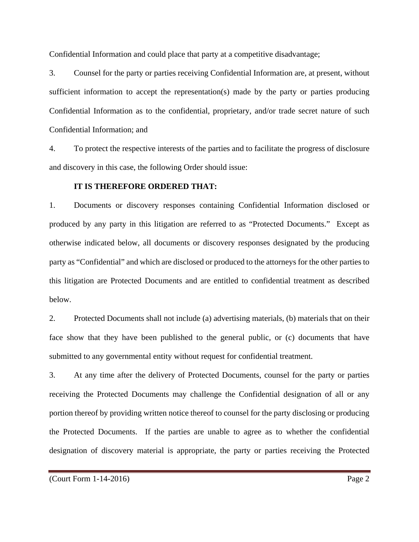Confidential Information and could place that party at a competitive disadvantage;

3. Counsel for the party or parties receiving Confidential Information are, at present, without sufficient information to accept the representation(s) made by the party or parties producing Confidential Information as to the confidential, proprietary, and/or trade secret nature of such Confidential Information; and

4. To protect the respective interests of the parties and to facilitate the progress of disclosure and discovery in this case, the following Order should issue:

## **IT IS THEREFORE ORDERED THAT:**

1. Documents or discovery responses containing Confidential Information disclosed or produced by any party in this litigation are referred to as "Protected Documents." Except as otherwise indicated below, all documents or discovery responses designated by the producing party as "Confidential" and which are disclosed or produced to the attorneys for the other parties to this litigation are Protected Documents and are entitled to confidential treatment as described below.

2. Protected Documents shall not include (a) advertising materials, (b) materials that on their face show that they have been published to the general public, or (c) documents that have submitted to any governmental entity without request for confidential treatment.

3. At any time after the delivery of Protected Documents, counsel for the party or parties receiving the Protected Documents may challenge the Confidential designation of all or any portion thereof by providing written notice thereof to counsel for the party disclosing or producing the Protected Documents. If the parties are unable to agree as to whether the confidential designation of discovery material is appropriate, the party or parties receiving the Protected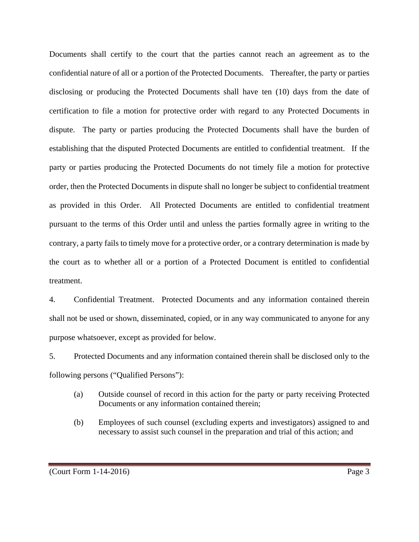Documents shall certify to the court that the parties cannot reach an agreement as to the confidential nature of all or a portion of the Protected Documents. Thereafter, the party or parties disclosing or producing the Protected Documents shall have ten (10) days from the date of certification to file a motion for protective order with regard to any Protected Documents in dispute. The party or parties producing the Protected Documents shall have the burden of establishing that the disputed Protected Documents are entitled to confidential treatment. If the party or parties producing the Protected Documents do not timely file a motion for protective order, then the Protected Documents in dispute shall no longer be subject to confidential treatment as provided in this Order. All Protected Documents are entitled to confidential treatment pursuant to the terms of this Order until and unless the parties formally agree in writing to the contrary, a party fails to timely move for a protective order, or a contrary determination is made by the court as to whether all or a portion of a Protected Document is entitled to confidential treatment.

4. Confidential Treatment. Protected Documents and any information contained therein shall not be used or shown, disseminated, copied, or in any way communicated to anyone for any purpose whatsoever, except as provided for below.

5. Protected Documents and any information contained therein shall be disclosed only to the following persons ("Qualified Persons"):

- (a) Outside counsel of record in this action for the party or party receiving Protected Documents or any information contained therein;
- (b) Employees of such counsel (excluding experts and investigators) assigned to and necessary to assist such counsel in the preparation and trial of this action; and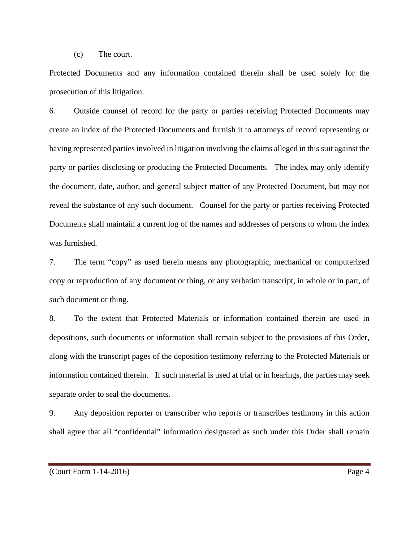(c) The court.

Protected Documents and any information contained therein shall be used solely for the prosecution of this litigation.

6. Outside counsel of record for the party or parties receiving Protected Documents may create an index of the Protected Documents and furnish it to attorneys of record representing or having represented parties involved in litigation involving the claims alleged in this suit against the party or parties disclosing or producing the Protected Documents. The index may only identify the document, date, author, and general subject matter of any Protected Document, but may not reveal the substance of any such document. Counsel for the party or parties receiving Protected Documents shall maintain a current log of the names and addresses of persons to whom the index was furnished.

7. The term "copy" as used herein means any photographic, mechanical or computerized copy or reproduction of any document or thing, or any verbatim transcript, in whole or in part, of such document or thing.

8. To the extent that Protected Materials or information contained therein are used in depositions, such documents or information shall remain subject to the provisions of this Order, along with the transcript pages of the deposition testimony referring to the Protected Materials or information contained therein. If such material is used at trial or in hearings, the parties may seek separate order to seal the documents.

9. Any deposition reporter or transcriber who reports or transcribes testimony in this action shall agree that all "confidential" information designated as such under this Order shall remain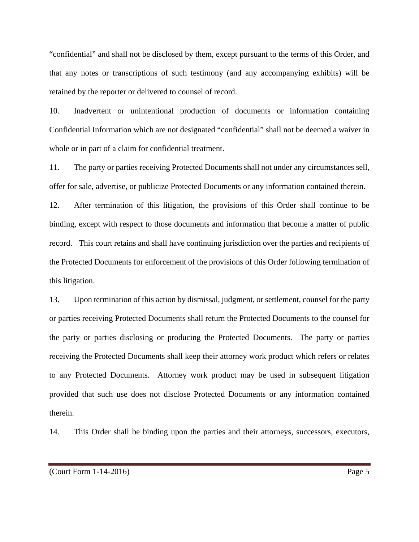"confidential" and shall not be disclosed by them, except pursuant to the terms of this Order, and that any notes or transcriptions of such testimony (and any accompanying exhibits) will be retained by the reporter or delivered to counsel of record.

10. Inadvertent or unintentional production of documents or information containing Confidential Information which are not designated "confidential" shall not be deemed a waiver in whole or in part of a claim for confidential treatment.

11. The party or parties receiving Protected Documents shall not under any circumstances sell, offer for sale, advertise, or publicize Protected Documents or any information contained therein.

12. After termination of this litigation, the provisions of this Order shall continue to be binding, except with respect to those documents and information that become a matter of public record. This court retains and shall have continuing jurisdiction over the parties and recipients of the Protected Documents for enforcement of the provisions of this Order following termination of this litigation.

13. Upon termination of this action by dismissal, judgment, or settlement, counsel for the party or parties receiving Protected Documents shall return the Protected Documents to the counsel for the party or parties disclosing or producing the Protected Documents. The party or parties receiving the Protected Documents shall keep their attorney work product which refers or relates to any Protected Documents. Attorney work product may be used in subsequent litigation provided that such use does not disclose Protected Documents or any information contained therein.

14. This Order shall be binding upon the parties and their attorneys, successors, executors,